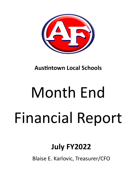

**Austintown Local Schools** 

# Month End Financial Report

## **July FY2022**

Blaise E. Karlovic, Treasurer/CFO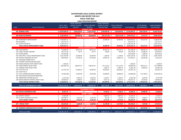#### **AUSTINTOWN LOCAL SCHOOL DISTRICT MONTH END REPORT FOR JULY FISCAL YEAR 2022 CASH POSITION REPORT**

|             |                                         |    |                     |     | FISCAL YEAR 2022     |                                               |      | FISCAL YEAR 2022     |      |                     |     |                                                  |      |                     |     |                     |
|-------------|-----------------------------------------|----|---------------------|-----|----------------------|-----------------------------------------------|------|----------------------|------|---------------------|-----|--------------------------------------------------|------|---------------------|-----|---------------------|
|             |                                         |    | <b>JULY 1, 2021</b> |     | <b>MONTH TO DATE</b> | FISCAL YEAR 2022                              |      | <b>MONTH TO DATE</b> |      | FISCAL YEAR 2022    |     |                                                  |      | <b>OUTSTANDING</b>  |     | <b>UNENCUMBERED</b> |
| <b>FUND</b> | <b>FUND DESCRIPTION</b>                 |    | <b>CASH BALANCE</b> |     | <b>RECEIPTS</b>      | <b>RECEIPTS</b>                               |      | <b>EXPENDITURES</b>  |      | <b>EXPENDITURES</b> |     | <b>CASH BALANCE</b>                              |      | <b>ENCUMBRANCES</b> |     | <b>CASH BALANCE</b> |
|             |                                         |    |                     |     |                      | <b>GENERAL FUND</b>                           |      |                      |      |                     |     |                                                  |      |                     |     |                     |
|             | 001 GENERAL FUND                        |    | $$13,879,600.39$ \$ |     | 3,343,103.63 \$      | 3,343,103.63 \$                               |      | 3,459,699.48 \$      |      |                     |     | 3,459,699.48 \$ 13,763,004.54 \$ 2,826,238.94 \$ |      |                     |     | 10,936,765.60       |
|             |                                         |    |                     |     |                      | <b>DEBT SERVICE FUND</b>                      |      |                      |      |                     |     |                                                  |      |                     |     |                     |
|             | 002 BOND RETIREMENT                     |    | \$3,586,200.64\$    |     | 238,000.00 \$        | 238,000.00 \$                                 |      | $(255, 473.69)$ \$   |      |                     |     | $(255,473.69)$ \$ 4,079,674.33 \$                |      | 31,513.73 \$        |     | 4,048,160.60        |
|             |                                         |    |                     |     |                      | <b>CAPITAL IMPROVEMENT FUNDS</b>              |      |                      |      |                     |     |                                                  |      |                     |     |                     |
|             | 003 PERMANENT IMPROVEMENT               |    | \$2,958,803.52\$    |     |                      | Ś.<br>÷.                                      | \$   | 28,400.00 \$         |      | 28,400.00 \$        |     | 2,930,403.52 \$                                  |      | 741,915.67 \$       |     | 2,188,487.85        |
|             | 004 BUILDING                            | Ś. | 125,713.75 \$       |     |                      |                                               |      |                      | \$   |                     |     | 125,713.75 \$                                    |      |                     | \$. | 125,713.75          |
|             | 070 CAPITAL PROJECTS                    |    | \$3,218,124.25      |     |                      |                                               |      |                      | Ś    |                     | S   | 3,218,124.25 \$                                  |      |                     | \$  | 3,218,124.25        |
|             | TOTAL CAPITAL IMPROVEMENT FUNDS         |    | \$6,302,641.52\$    |     |                      |                                               |      | 28,400.00 \$         |      | 28,400.00 \$        |     | 6,274,241.52 \$                                  |      | 741,915.67 \$       |     | 5,532,325.85        |
|             |                                         |    |                     |     |                      | <b>SPECIAL REVENUE FUNDS</b>                  |      |                      |      |                     |     |                                                  |      |                     |     |                     |
|             | 006 FOOD SERVICE                        | Ś. | 716,690.95 \$       |     | 30,572.16 \$         | 30,572.16 \$                                  |      | 95,474.33 \$         |      | 95,474.33 \$        |     | 651,788.78 \$                                    |      | 796,982.75 \$       |     | (145, 193.97)       |
|             | 018 PUBLIC SCHOOL SUPPORT               |    | 176,171.09 \$       |     | 714.73 \$            | 714.73 \$                                     |      | 709.00 \$            |      | 709.00 \$           |     | 176,176.82 \$                                    |      | 16,346.87 \$        |     | 159,829.95          |
|             | 019 OTHER GRANT                         |    | 167,916.88 \$       |     |                      | Ŝ                                             | Ŝ    | $\sim$               | Ŝ.   | $\sim$              |     | 167,916.88 \$                                    |      | 2,398.70 \$         |     | 165,518.18          |
|             | 034 OSFC PROJ-.5 MILLS MAINTENANCE FUND |    | 3,521,355.08 \$     |     | 22,000.00            | 22,000.00<br>- Ś                              | - S  | 1,228.82             | - \$ | 1,228.82 \$         |     | $3,542,126.26$ \$                                |      | $11,401.46$ \$      |     | 3,530,724.80        |
|             | 300 DISTRICT MANAGED ACTIVITY           |    | 189,320.02 \$       |     | 12,746.28 \$         | 12,746.28                                     | - \$ | 29,607.16            | - \$ | 29,607.16 \$        |     | 172,459.14 \$                                    |      | 89,145.85 \$        |     | 83,313.29           |
|             | 451 NETWORK CONNECTIVITY                |    |                     |     |                      | Ś                                             |      |                      | Ś    |                     |     |                                                  |      |                     | Ś   |                     |
|             | 467 STUDENT SUCCESS AND WELLNESS        |    |                     |     |                      | S                                             |      |                      | Ś    |                     |     |                                                  |      |                     | Ś   |                     |
|             | 499 MISCELLANEOUS STATE GRANT FUND      |    | 1,458.29            |     |                      |                                               |      |                      |      |                     |     | $1,458.29$ \$                                    |      |                     | Ŝ   | 1,458.29            |
|             | 507 ESSER FEDERAL RELIEF FUND           |    | (426,289.74) \$     |     | 548,307.53           | \$<br>548,307.53                              |      | 171,113.62           | -\$  | 171,113.62 \$       |     | $(49,095.83)$ \$                                 |      | 708,312.17 \$       |     | (757, 408.00)       |
|             | 510 CORONA VIRUS RELIEF FUND            |    |                     | Ŝ   |                      | \$                                            | S    | $1,002.75$ \$        |      | $1,002.75$ \$       |     | $(1,002.75)$ \$                                  |      | 13,894.35 \$        |     | (14,897.10)         |
|             | 516 FY19 Title VI-B                     |    | $(41,791.73)$ \$    |     | 79,694.03            | 79,694.03<br>-\$                              | -S   | 90,328.01 \$         |      | 90,328.01 \$        |     | $(52, 425.71)$ \$                                |      | $\sim$              | Ŝ.  | (52, 425.71)        |
|             | 551 FY20 TITLE III                      |    |                     | -Ś  |                      | \$                                            |      |                      | \$   |                     | Ŝ.  |                                                  |      |                     | \$  |                     |
|             | 572 TITLE I DISADVANTAGED STUDENTS      |    | $(15, 462.88)$ \$   |     | 15,462.88            | 15,462.88<br>-\$                              | -S   | 30,896.60            | \$.  | 30,896.60 \$        |     | $(30,896.60)$ \$                                 |      | 111,746.61 \$       |     | (142, 643.21)       |
|             | 587 IDEA SPECIAL EDUCATION PRESCHOOL    |    |                     | - Ś |                      | Ś                                             | S    |                      | Ŝ    |                     | \$. |                                                  | - \$ |                     | Ŝ.  |                     |
|             | 590 IMPROVING TEACHER QUALITY           |    | $(1,531.09)$ \$     |     | 4,654.36 \$          | 4,654.36 \$                                   |      | $5,166.57$ \$        |      | $5,166.57$ \$       |     | $(2,043.30)$ \$                                  |      | 3,034.28 \$         |     | (5,077.58)          |
|             | 599 MISCELLANEOUS FEDERAL GRANT FUND    |    | 140,856.04 \$       |     | $5,368.43$ \$        | $5,368.43$ \$                                 |      | $9,572.20$ \$        |      | $9,572.20$ \$       |     | 136,652.27 \$                                    |      | $16,556.81$ \$      |     | 120,095.46          |
|             | TOTAL SPECIAL REVENUE FUNDS             |    | $$4,428,692.91$ \$  |     | 719,520.40 \$        | 719,520.40 \$                                 |      | 435,099.06 \$        |      | 435,099.06 \$       |     | 4,713,114.25 \$                                  |      | 1,769,819.85 \$     |     | 2,943,294.40        |
|             |                                         |    |                     |     |                      |                                               |      |                      |      |                     |     |                                                  |      |                     |     |                     |
|             | TOTAL ALL GOVERNMENTAL FUNDS            |    | $$28,197,135.46$ \$ |     | 4,300,624.03 \$      | 4,300,624.03 \$                               |      | 3,667,724.85 \$      |      |                     |     | 3,667,724.85 \$ 28,830,034.64 \$                 |      | 5.369.488.19 \$     |     | 23.460.546.45       |
|             |                                         |    |                     |     |                      |                                               |      |                      |      |                     |     |                                                  |      |                     |     |                     |
|             |                                         |    |                     |     |                      | <b>ENTERPRISE FUNDS</b>                       |      |                      |      |                     |     |                                                  |      |                     |     |                     |
|             | 020 SPECIAL ENTERPRISE FUND             | \$ | 59,227.55 \$        |     | $-5$                 |                                               | $-5$ | $5,758.22$ \$        |      | 5,758.22 \$         |     | 53,469.33 \$                                     |      | 30,900.99 \$        |     | 22,568.34           |
|             |                                         |    |                     |     |                      | <b>AGENCY FUNDS</b>                           | Ŝ.   |                      |      |                     |     |                                                  |      |                     |     |                     |
|             | 022 DISTRICT AGENCY                     | S  | 27,426.80 \$        |     | $\sim$               | -\$                                           |      | 5,897.63 \$          |      | 5,897.63 \$         |     | 21,529.17 \$                                     |      | $-5$                |     | 21,529.17           |
|             | 200 STUDENT MANAGED ACTIVITY            | Ś  | 109,680.32 \$       |     | $6,291.58$ \$        | $6,291.58$ \$                                 |      | 875.00 \$            |      | 875.00 \$           |     | 115,096.90 \$                                    |      | 7,898.57 \$         |     | 107,198.33          |
|             | <b>TOTAL AGENCY FUNDS</b>               |    | 137,107.12 \$       |     | $6,291.58$ \$        | $6,291.58$ \$                                 |      | $6,772.63$ \$        |      | $6,772.63$ \$       |     | 136,626.07 \$                                    |      | 7,898.57 \$         |     | 128,727.50          |
|             |                                         |    |                     |     |                      | <b>PRIVATE PURPOSE TRUST FUND</b>             |      |                      |      |                     |     |                                                  |      |                     |     |                     |
|             | 007 SPECIAL TRUST                       |    | \$144,232.62\$      |     | $2,430.63$ \$        | $2,430.63$ \$<br><b>INTERNAL SERVICE FUND</b> |      | 11,270.00 \$         |      | 11,270.00 \$        |     | 135,393.25 \$                                    |      | 7,470.00 \$         |     | 127,923.25          |
|             | 027 WORKERS COMPENSATION ACCOUNT        |    |                     |     | $\sim$               | Ŝ.<br>$\sim$ 100 $\sim$                       |      | $-5$                 |      | $\sim 100$          |     |                                                  |      |                     |     |                     |
|             |                                         |    | \$244,431.03\$      |     |                      |                                               | - \$ |                      |      |                     | s.  | 244,431.03 \$                                    |      | 184,500.00 \$       |     | 59,931.03           |
|             | <b>TOTAL ALL FUNDS</b>                  |    | $$28,782,133.78$ \$ |     | 4,309,346.24 \$      | 4,309,346.24 \$                               |      | $3,680,255.70$ \$    |      |                     |     | 3,691,525.70 \$ 29,399,954.32 \$                 |      | 5,600,257.75 \$     |     | 23,799,696.57       |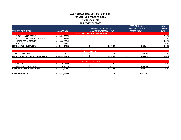#### **AUSTINTOWN LOCAL SCHOOL DISTRICT MONTH END REPORT FOR JULY FISCAL YEAR 2022 INVESTMENT REPORT**

FISCAL YEAR 2022

| <b>TOTAL REDTREE INVESTMENTS</b> | 7,953,076.82         |                                       | 8,887.94                        | 8,887.94                 | 2.06%           |
|----------------------------------|----------------------|---------------------------------------|---------------------------------|--------------------------|-----------------|
| <b>MONEY MARKET</b>              | 6.717.47             |                                       |                                 |                          | 0.01%           |
| <b>CERTIFICATES OF DEPOSIT</b>   | 4,885,438.65         |                                       |                                 |                          | 1.53%           |
| US GOVERNMENT AGENCY DISCOUNT    | 1,447,631.95         |                                       |                                 |                          | 0.22%           |
| US GOVERNMENT AGENCY             | 1,613,288.75         |                                       |                                 |                          | 0.43%           |
|                                  |                      | REDTREE INVESTMENTS HELD BY U.S. BANK |                                 |                          |                 |
| <b>BANK INVESTMENT TYPE</b>      | <b>BALANCE VALUE</b> |                                       | <b>MANAGEMENT FEES FOR JUNE</b> | POSTED TO DATE           | <b>RATE</b>     |
|                                  |                      |                                       | <b>INVESTMENT INCOME LESS</b>   | <b>INVESTMENT INCOME</b> | <b>INTEREST</b> |
|                                  |                      |                                       |                                 | <b>FISCAL YEAR 2022</b>  | <b>JULY</b>     |

|                                                          |                                      | RITIES |          |          |                     |
|----------------------------------------------------------|--------------------------------------|--------|----------|----------|---------------------|
| <b>SECURITIES</b><br><b>HILLTOT</b>                      | $\cap$ $\cap$ $\cap$<br>2.723.030.11 |        | 40.96    | 140.96   | A20<br><b>0.437</b> |
| <b>L REDTREE AND HILLTOP INVESTMENTS</b><br><b>TOTAL</b> | 10.684.844.40                        |        | 9.028.90 | 9.028.90 | 2.03%               |

|                                    |                 | <b>MONEY MARKET ACCOUNTS</b> |           |           |       |
|------------------------------------|-----------------|------------------------------|-----------|-----------|-------|
| STAR OHIO                          | 108,613.69      |                              | 7.15      | 7.15      | 0.08% |
| FARMERS NATIONAL BANK              | 17,768,190.38   |                              | 1.840.96  | 1,840.96  | 0.13% |
| <b>TOTAL MONEY MARKET ACCOUNTS</b> | រ 17,876,804.07 |                              | 1.848.11  | 1.848.11  | 0.67% |
|                                    |                 |                              |           |           |       |
| <b>TOTAL INVESTMENTS</b>           | 25,829,880.89   |                              | 10,877.01 | 10,877.01 |       |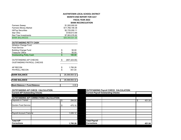#### **AUSTINTOWN LOCAL SCHOOL DISTRICT MONTH END REPORT FOR JULY FISCAL YEAR 2022**

**BANK RECONCILIATION**

| <b>Farmers Sweep</b>        | \$1.500.000.00  |
|-----------------------------|-----------------|
| <b>Farmers Money Market</b> | \$17.768.190.38 |
| <b>HillTop Securities</b>   | \$2.725.050.11  |
| Star Ohio                   | \$108.613.69    |
| <b>Red Tree Investments</b> | \$7.953.076.82  |
| <b>BANK BALANCES</b>        | \$30.054.931.00 |

| <b>OUTSTANDING PETTY CASH</b>                              |                     |
|------------------------------------------------------------|---------------------|
| <b>Athletics Change Fund</b>                               |                     |
| Food Service                                               |                     |
| <b>Building Change Fund</b>                                | \$<br>50.00         |
| <b>Treasurer Office</b>                                    | \$<br>50.00         |
| <b>Outstanding Petty Cash</b>                              | \$<br>100.00        |
| <b>OUTSTANDING A/P CHECKS</b><br>OUSTANDING PAYROLL CHECKS | \$<br>(657, 323.00) |
| AP RECON                                                   | \$<br>1,795.28      |
| <b>PAYROLL RECON</b>                                       | \$<br>451.04        |
| <b>BANK BALANCE</b>                                        | 29,399,954.32       |
| <b>IFUND BALANCE</b>                                       | 29.399.954.32       |
|                                                            |                     |
| <b>Bank Balance = Fund Balance</b>                         | 0.00                |

**Current A/P Outstanding Checks** 

| <b>OUTSTANDING A/P CORRECTIONS CALCULATION:</b> |          |                      |  |        |
|-------------------------------------------------|----------|----------------------|--|--------|
| Deposits in Transit                             | 294.00   |                      |  | 451.04 |
| Gordon Food Service                             | 475.16   |                      |  |        |
|                                                 |          |                      |  |        |
|                                                 |          |                      |  |        |
| <b>Payroll Account Transfer</b>                 | 1,026.12 |                      |  |        |
|                                                 |          |                      |  |        |
|                                                 |          |                      |  |        |
| <b>Total A/P</b>                                |          | <b>Total Payroll</b> |  |        |
| <b>Corrections</b>                              | 1,795.28 | <b>Corrections</b>   |  | 451.04 |

#### **OUTSTANDING A/P CHECK CALCULATION: OUTSTANDING Payroll CHECK CALCULATION:**

|                                            | <b>Current Payroll Outstanding Checks</b> |              |
|--------------------------------------------|-------------------------------------------|--------------|
|                                            |                                           |              |
|                                            |                                           |              |
|                                            |                                           | \$<br>451.04 |
|                                            |                                           |              |
|                                            |                                           |              |
|                                            |                                           |              |
|                                            |                                           |              |
|                                            |                                           |              |
|                                            |                                           |              |
| <b>Total Payroll</b><br><b>Corrections</b> |                                           | 451.04       |